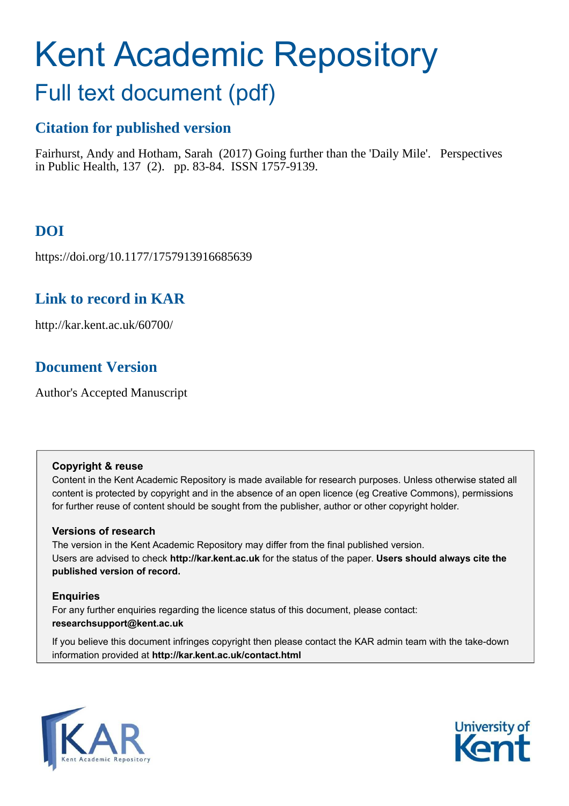# Kent Academic Repository

## Full text document (pdf)

## **Citation for published version**

Fairhurst, Andy and Hotham, Sarah (2017) Going further than the 'Daily Mile'. Perspectives in Public Health, 137 (2). pp. 83-84. ISSN 1757-9139.

## **DOI**

https://doi.org/10.1177/1757913916685639

## **Link to record in KAR**

http://kar.kent.ac.uk/60700/

## **Document Version**

Author's Accepted Manuscript

#### **Copyright & reuse**

Content in the Kent Academic Repository is made available for research purposes. Unless otherwise stated all content is protected by copyright and in the absence of an open licence (eg Creative Commons), permissions for further reuse of content should be sought from the publisher, author or other copyright holder.

#### **Versions of research**

The version in the Kent Academic Repository may differ from the final published version. Users are advised to check **http://kar.kent.ac.uk** for the status of the paper. **Users should always cite the published version of record.**

#### **Enquiries**

For any further enquiries regarding the licence status of this document, please contact: **researchsupport@kent.ac.uk**

If you believe this document infringes copyright then please contact the KAR admin team with the take-down information provided at **http://kar.kent.ac.uk/contact.html**



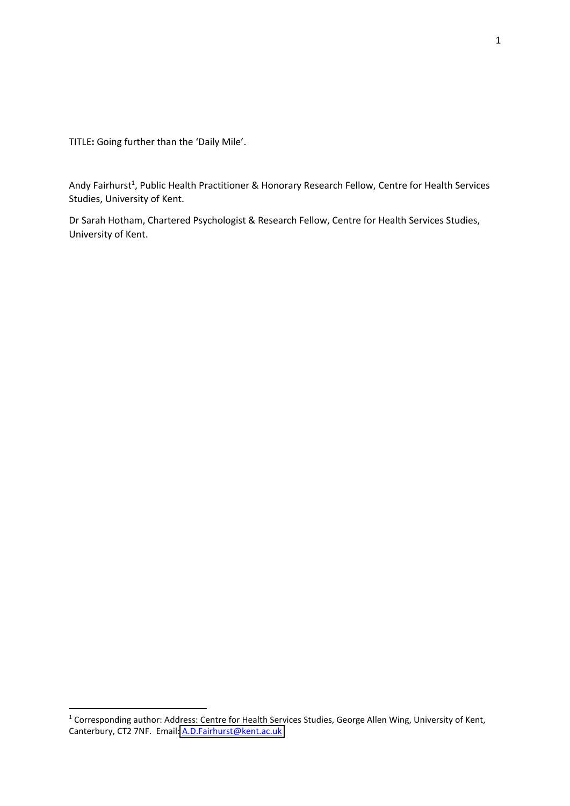TITLE: Going further than the 'Daily Mile'.

-

Andy Fairhurst<sup>1</sup>, Public Health Practitioner & Honorary Research Fellow, Centre for Health Services Studies, University of Kent.

Dr Sarah Hotham, Chartered Psychologist & Research Fellow, Centre for Health Services Studies, University of Kent.

<sup>&</sup>lt;sup>1</sup> Corresponding author: Address: Centre for Health Services Studies, George Allen Wing, University of Kent, Canterbury, CT2 7NF. Email: [A.D.Fairhurst@kent.ac.uk](mailto:A.D.Fairhurst@kent.ac.uk)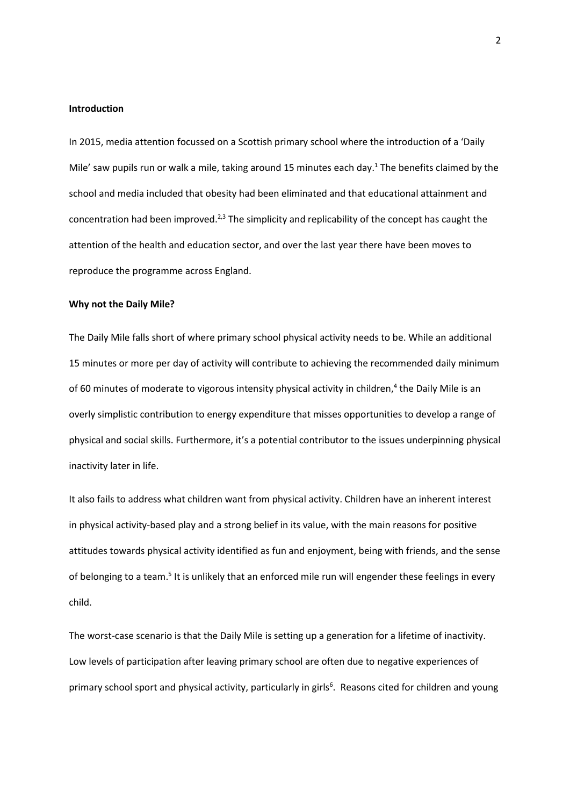#### **Introduction**

In 2015, media attention focussed on a Scottish primary school where the introduction of a 'Daily Mile' saw pupils run or walk a mile, taking around 15 minutes each day.<sup>1</sup> The benefits claimed by the school and media included that obesity had been eliminated and that educational attainment and concentration had been improved.<sup>2,3</sup> The simplicity and replicability of the concept has caught the attention of the health and education sector, and over the last year there have been moves to reproduce the programme across England.

#### **Why not the Daily Mile?**

The Daily Mile falls short of where primary school physical activity needs to be. While an additional 15 minutes or more per day of activity will contribute to achieving the recommended daily minimum of 60 minutes of moderate to vigorous intensity physical activity in children,<sup>4</sup> the Daily Mile is an overly simplistic contribution to energy expenditure that misses opportunities to develop a range of physical and social skills. Furthermore, it's a potential contributor to the issues underpinning physical inactivity later in life.

It also fails to address what children want from physical activity. Children have an inherent interest in physical activity-based play and a strong belief in its value, with the main reasons for positive attitudes towards physical activity identified as fun and enjoyment, being with friends, and the sense of belonging to a team.<sup>5</sup> It is unlikely that an enforced mile run will engender these feelings in every child.

The worst-case scenario is that the Daily Mile is setting up a generation for a lifetime of inactivity. Low levels of participation after leaving primary school are often due to negative experiences of primary school sport and physical activity, particularly in girls<sup>6</sup>. Reasons cited for children and young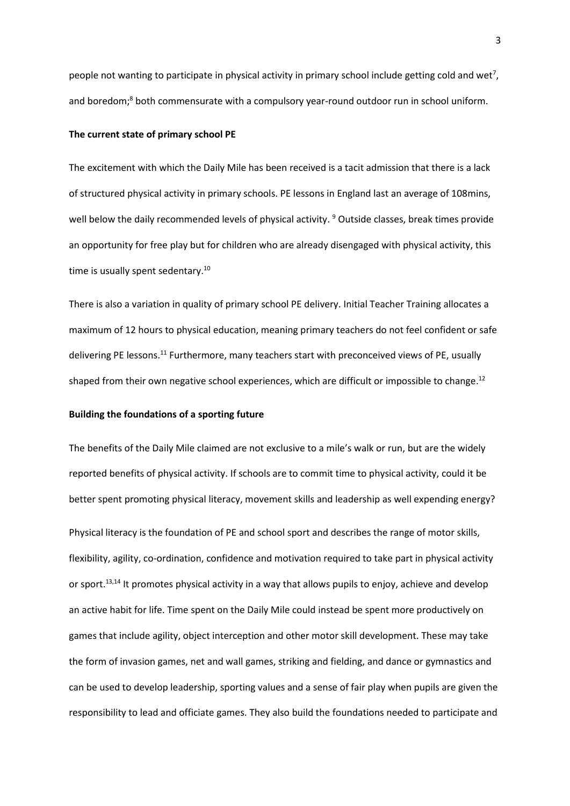people not wanting to participate in physical activity in primary school include getting cold and wet<sup>7</sup>, and boredom;<sup>8</sup> both commensurate with a compulsory year-round outdoor run in school uniform.

#### **The current state of primary school PE**

The excitement with which the Daily Mile has been received is a tacit admission that there is a lack of structured physical activity in primary schools. PE lessons in England last an average of 108mins, well below the daily recommended levels of physical activity. <sup>9</sup> Outside classes, break times provide an opportunity for free play but for children who are already disengaged with physical activity, this time is usually spent sedentary.<sup>10</sup>

There is also a variation in quality of primary school PE delivery. Initial Teacher Training allocates a maximum of 12 hours to physical education, meaning primary teachers do not feel confident or safe delivering PE lessons.<sup>11</sup> Furthermore, many teachers start with preconceived views of PE, usually shaped from their own negative school experiences, which are difficult or impossible to change.<sup>12</sup>

#### **Building the foundations of a sporting future**

The benefits of the Daily Mile claimed are not exclusive to a mile's walk or run, but are the widely reported benefits of physical activity. If schools are to commit time to physical activity, could it be better spent promoting physical literacy, movement skills and leadership as well expending energy? Physical literacy is the foundation of PE and school sport and describes the range of motor skills, flexibility, agility, co-ordination, confidence and motivation required to take part in physical activity or sport.<sup>13,14</sup> It promotes physical activity in a way that allows pupils to enjoy, achieve and develop an active habit for life. Time spent on the Daily Mile could instead be spent more productively on games that include agility, object interception and other motor skill development. These may take the form of invasion games, net and wall games, striking and fielding, and dance or gymnastics and can be used to develop leadership, sporting values and a sense of fair play when pupils are given the responsibility to lead and officiate games. They also build the foundations needed to participate and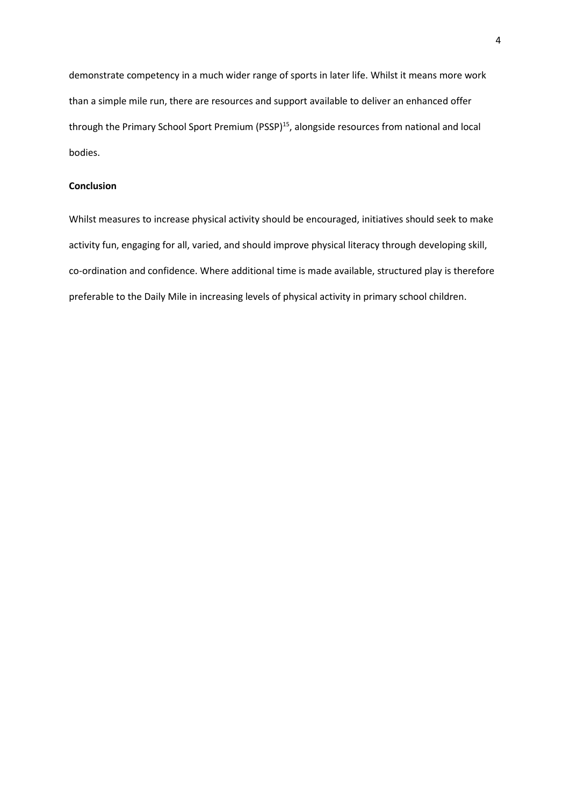demonstrate competency in a much wider range of sports in later life. Whilst it means more work than a simple mile run, there are resources and support available to deliver an enhanced offer through the Primary School Sport Premium (PSSP)<sup>15</sup>, alongside resources from national and local bodies.

#### **Conclusion**

Whilst measures to increase physical activity should be encouraged, initiatives should seek to make activity fun, engaging for all, varied, and should improve physical literacy through developing skill, co-ordination and confidence. Where additional time is made available, structured play is therefore preferable to the Daily Mile in increasing levels of physical activity in primary school children.